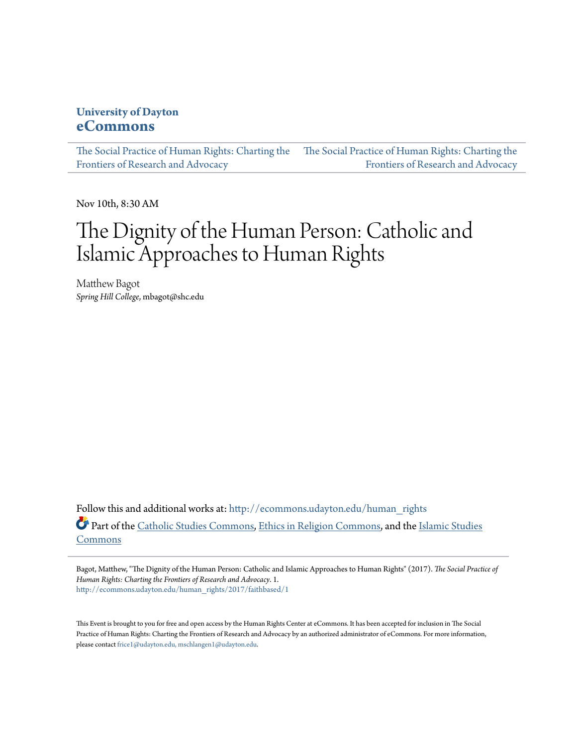### **University of Dayton [eCommons](http://ecommons.udayton.edu?utm_source=ecommons.udayton.edu%2Fhuman_rights%2F2017%2Ffaithbased%2F1&utm_medium=PDF&utm_campaign=PDFCoverPages)**

[The Social Practice of Human Rights: Charting the](http://ecommons.udayton.edu/human_rights?utm_source=ecommons.udayton.edu%2Fhuman_rights%2F2017%2Ffaithbased%2F1&utm_medium=PDF&utm_campaign=PDFCoverPages) [The Social Practice of Human Rights: Charting the](http://ecommons.udayton.edu/human_rights/2017?utm_source=ecommons.udayton.edu%2Fhuman_rights%2F2017%2Ffaithbased%2F1&utm_medium=PDF&utm_campaign=PDFCoverPages) [Frontiers of Research and Advocacy](http://ecommons.udayton.edu/human_rights?utm_source=ecommons.udayton.edu%2Fhuman_rights%2F2017%2Ffaithbased%2F1&utm_medium=PDF&utm_campaign=PDFCoverPages) [Frontiers of Research and Advocacy](http://ecommons.udayton.edu/human_rights/2017?utm_source=ecommons.udayton.edu%2Fhuman_rights%2F2017%2Ffaithbased%2F1&utm_medium=PDF&utm_campaign=PDFCoverPages)

Nov 10th, 8:30 AM

# The Dignity of the Human Person: Catholic and Islamic Approaches to Human Rights

Matthew Bagot *Spring Hill College*, mbagot@shc.edu

Follow this and additional works at: [http://ecommons.udayton.edu/human\\_rights](http://ecommons.udayton.edu/human_rights?utm_source=ecommons.udayton.edu%2Fhuman_rights%2F2017%2Ffaithbased%2F1&utm_medium=PDF&utm_campaign=PDFCoverPages) Part of the [Catholic Studies Commons,](http://network.bepress.com/hgg/discipline/1294?utm_source=ecommons.udayton.edu%2Fhuman_rights%2F2017%2Ffaithbased%2F1&utm_medium=PDF&utm_campaign=PDFCoverPages) [Ethics in Religion Commons,](http://network.bepress.com/hgg/discipline/541?utm_source=ecommons.udayton.edu%2Fhuman_rights%2F2017%2Ffaithbased%2F1&utm_medium=PDF&utm_campaign=PDFCoverPages) and the [Islamic Studies](http://network.bepress.com/hgg/discipline/1346?utm_source=ecommons.udayton.edu%2Fhuman_rights%2F2017%2Ffaithbased%2F1&utm_medium=PDF&utm_campaign=PDFCoverPages) [Commons](http://network.bepress.com/hgg/discipline/1346?utm_source=ecommons.udayton.edu%2Fhuman_rights%2F2017%2Ffaithbased%2F1&utm_medium=PDF&utm_campaign=PDFCoverPages)

Bagot, Matthew, "The Dignity of the Human Person: Catholic and Islamic Approaches to Human Rights" (2017). *The Social Practice of Human Rights: Charting the Frontiers of Research and Advocacy*. 1. [http://ecommons.udayton.edu/human\\_rights/2017/faithbased/1](http://ecommons.udayton.edu/human_rights/2017/faithbased/1?utm_source=ecommons.udayton.edu%2Fhuman_rights%2F2017%2Ffaithbased%2F1&utm_medium=PDF&utm_campaign=PDFCoverPages)

This Event is brought to you for free and open access by the Human Rights Center at eCommons. It has been accepted for inclusion in The Social Practice of Human Rights: Charting the Frontiers of Research and Advocacy by an authorized administrator of eCommons. For more information, please contact [frice1@udayton.edu, mschlangen1@udayton.edu.](mailto:frice1@udayton.edu,%20mschlangen1@udayton.edu)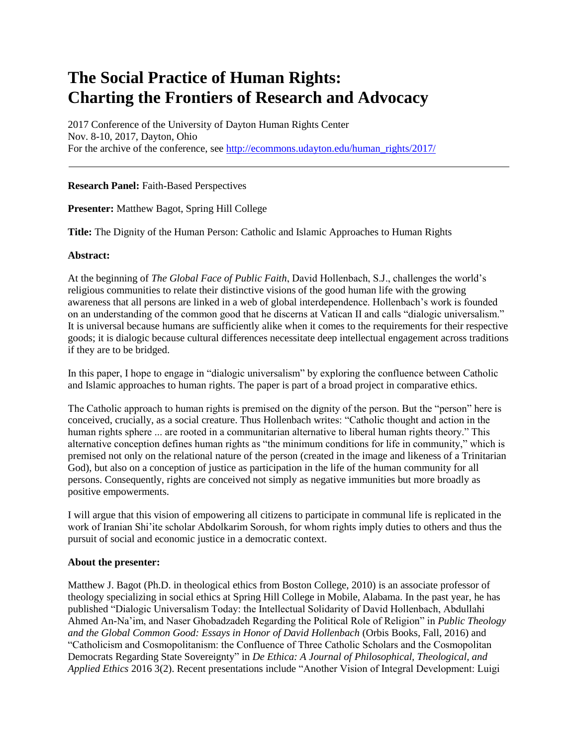## **The Social Practice of Human Rights: Charting the Frontiers of Research and Advocacy**

2017 Conference of the University of Dayton Human Rights Center Nov. 8-10, 2017, Dayton, Ohio For the archive of the conference, see [http://ecommons.udayton.edu/human\\_rights/2017/](http://ecommons.udayton.edu/human_rights/2017/)

#### **Research Panel:** Faith-Based Perspectives

**Presenter:** Matthew Bagot, Spring Hill College

**Title:** The Dignity of the Human Person: Catholic and Islamic Approaches to Human Rights

#### **Abstract:**

At the beginning of *The Global Face of Public Faith*, David Hollenbach, S.J., challenges the world's religious communities to relate their distinctive visions of the good human life with the growing awareness that all persons are linked in a web of global interdependence. Hollenbach's work is founded on an understanding of the common good that he discerns at Vatican II and calls "dialogic universalism." It is universal because humans are sufficiently alike when it comes to the requirements for their respective goods; it is dialogic because cultural differences necessitate deep intellectual engagement across traditions if they are to be bridged.

In this paper, I hope to engage in "dialogic universalism" by exploring the confluence between Catholic and Islamic approaches to human rights. The paper is part of a broad project in comparative ethics.

The Catholic approach to human rights is premised on the dignity of the person. But the "person" here is conceived, crucially, as a social creature. Thus Hollenbach writes: "Catholic thought and action in the human rights sphere ... are rooted in a communitarian alternative to liberal human rights theory." This alternative conception defines human rights as "the minimum conditions for life in community," which is premised not only on the relational nature of the person (created in the image and likeness of a Trinitarian God), but also on a conception of justice as participation in the life of the human community for all persons. Consequently, rights are conceived not simply as negative immunities but more broadly as positive empowerments.

I will argue that this vision of empowering all citizens to participate in communal life is replicated in the work of Iranian Shi'ite scholar Abdolkarim Soroush, for whom rights imply duties to others and thus the pursuit of social and economic justice in a democratic context.

#### **About the presenter:**

Matthew J. Bagot (Ph.D. in theological ethics from Boston College, 2010) is an associate professor of theology specializing in social ethics at Spring Hill College in Mobile, Alabama. In the past year, he has published "Dialogic Universalism Today: the Intellectual Solidarity of David Hollenbach, Abdullahi Ahmed An-Na'im, and Naser Ghobadzadeh Regarding the Political Role of Religion" in *Public Theology and the Global Common Good: Essays in Honor of David Hollenbach* (Orbis Books, Fall, 2016) and "Catholicism and Cosmopolitanism: the Confluence of Three Catholic Scholars and the Cosmopolitan Democrats Regarding State Sovereignty" in *De Ethica: A Journal of Philosophical, Theological, and Applied Ethics* 2016 3(2). Recent presentations include "Another Vision of Integral Development: Luigi